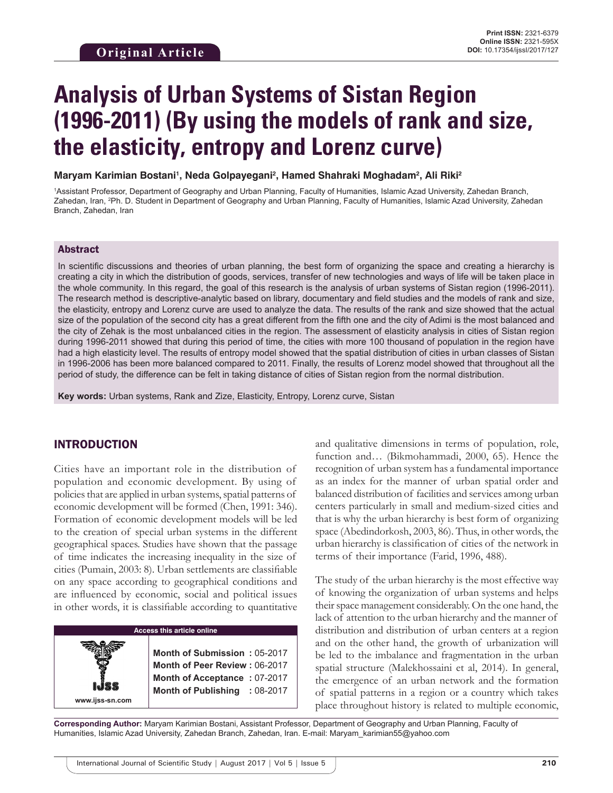# **Analysis of Urban Systems of Sistan Region (1996-2011) (By using the models of rank and size, the elasticity, entropy and Lorenz curve)**

**Maryam Karimian Bostani1 , Neda Golpayegani2 , Hamed Shahraki Moghadam2 , Ali Riki2**

1 Assistant Professor, Department of Geography and Urban Planning, Faculty of Humanities, Islamic Azad University, Zahedan Branch, Zahedan, Iran, <sup>2</sup>Ph. D. Student in Department of Geography and Urban Planning, Faculty of Humanities, Islamic Azad University, Zahedan Branch, Zahedan, Iran

## Abstract

In scientific discussions and theories of urban planning, the best form of organizing the space and creating a hierarchy is creating a city in which the distribution of goods, services, transfer of new technologies and ways of life will be taken place in the whole community. In this regard, the goal of this research is the analysis of urban systems of Sistan region (1996-2011). The research method is descriptive-analytic based on library, documentary and field studies and the models of rank and size, the elasticity, entropy and Lorenz curve are used to analyze the data. The results of the rank and size showed that the actual size of the population of the second city has a great different from the fifth one and the city of Adimi is the most balanced and the city of Zehak is the most unbalanced cities in the region. The assessment of elasticity analysis in cities of Sistan region during 1996-2011 showed that during this period of time, the cities with more 100 thousand of population in the region have had a high elasticity level. The results of entropy model showed that the spatial distribution of cities in urban classes of Sistan in 1996-2006 has been more balanced compared to 2011. Finally, the results of Lorenz model showed that throughout all the period of study, the difference can be felt in taking distance of cities of Sistan region from the normal distribution.

**Key words:** Urban systems, Rank and Zize, Elasticity, Entropy, Lorenz curve, Sistan

## INTRODUCTION

Cities have an important role in the distribution of population and economic development. By using of policies that are applied in urban systems, spatial patterns of economic development will be formed (Chen, 1991: 346). Formation of economic development models will be led to the creation of special urban systems in the different geographical spaces. Studies have shown that the passage of time indicates the increasing inequality in the size of cities (Pumain, 2003: 8). Urban settlements are classifiable on any space according to geographical conditions and are influenced by economic, social and political issues in other words, it is classifiable according to quantitative

and qualitative dimensions in terms of population, role, function and… (Bikmohammadi, 2000, 65). Hence the recognition of urban system has a fundamental importance as an index for the manner of urban spatial order and balanced distribution of facilities and services among urban centers particularly in small and medium-sized cities and that is why the urban hierarchy is best form of organizing space (Abedindorkosh, 2003, 86). Thus, in other words, the urban hierarchy is classification of cities of the network in terms of their importance (Farid, 1996, 488).

The study of the urban hierarchy is the most effective way of knowing the organization of urban systems and helps their space management considerably. On the one hand, the lack of attention to the urban hierarchy and the manner of distribution and distribution of urban centers at a region and on the other hand, the growth of urbanization will be led to the imbalance and fragmentation in the urban spatial structure (Malekhossaini et al, 2014). In general, the emergence of an urban network and the formation of spatial patterns in a region or a country which takes place throughout history is related to multiple economic,

**Corresponding Author:** Maryam Karimian Bostani, Assistant Professor, Department of Geography and Urban Planning, Faculty of Humanities, Islamic Azad University, Zahedan Branch, Zahedan, Iran. E-mail: Maryam\_karimian55@yahoo.com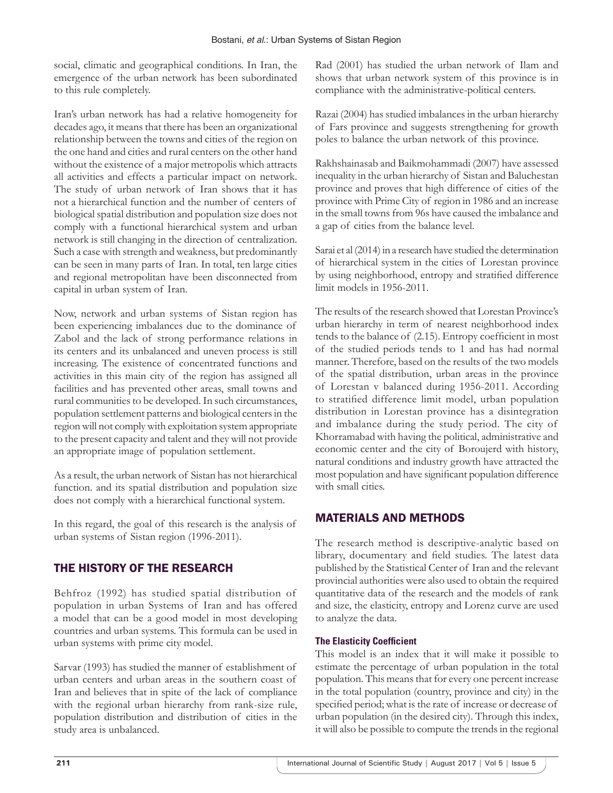social, climatic and geographical conditions. In Iran, the emergence of the urban network has been subordinated to this rule completely.

Iran's urban network has had a relative homogeneity for decades ago, it means that there has been an organizational relationship between the towns and cities of the region on the one hand and cities and rural centers on the other hand without the existence of a major metropolis which attracts all activities and effects a particular impact on network. The study of urban network of Iran shows that it has not a hierarchical function and the number of centers of biological spatial distribution and population size does not comply with a functional hierarchical system and urban network is still changing in the direction of centralization. Such a case with strength and weakness, but predominantly can be seen in many parts of Iran. In total, ten large cities and regional metropolitan have been disconnected from capital in urban system of Iran.

Now, network and urban systems of Sistan region has been experiencing imbalances due to the dominance of Zabol and the lack of strong performance relations in its centers and its unbalanced and uneven process is still increasing. The existence of concentrated functions and activities in this main city of the region has assigned all facilities and has prevented other areas, small towns and rural communities to be developed. In such circumstances, population settlement patterns and biological centers in the region will not comply with exploitation system appropriate to the present capacity and talent and they will not provide an appropriate image of population settlement.

As a result, the urban network of Sistan has not hierarchical function. and its spatial distribution and population size does not comply with a hierarchical functional system.

In this regard, the goal of this research is the analysis of urban systems of Sistan region (1996-2011).

# THE HISTORY OF THE RESEARCH

Behfroz (1992) has studied spatial distribution of population in urban Systems of Iran and has offered a model that can be a good model in most developing countries and urban systems. This formula can be used in urban systems with prime city model.

Sarvar (1993) has studied the manner of establishment of urban centers and urban areas in the southern coast of Iran and believes that in spite of the lack of compliance with the regional urban hierarchy from rank-size rule, population distribution and distribution of cities in the study area is unbalanced.

Rad (2001) has studied the urban network of Ilam and shows that urban network system of this province is in compliance with the administrative-political centers.

Razai (2004) has studied imbalances in the urban hierarchy of Fars province and suggests strengthening for growth poles to balance the urban network of this province.

Rakhshainasab and Baikmohammadi (2007) have assessed inequality in the urban hierarchy of Sistan and Baluchestan province and proves that high difference of cities of the province with Prime City of region in 1986 and an increase in the small towns from 96s have caused the imbalance and a gap of cities from the balance level.

Sarai et al (2014) in a research have studied the determination of hierarchical system in the cities of Lorestan province by using neighborhood, entropy and stratified difference limit models in 1956-2011.

The results of the research showed that Lorestan Province's urban hierarchy in term of nearest neighborhood index tends to the balance of (2.15). Entropy coefficient in most of the studied periods tends to 1 and has had normal manner. Therefore, based on the results of the two models of the spatial distribution, urban areas in the province of Lorestan v balanced during 1956-2011. According to stratified difference limit model, urban population distribution in Lorestan province has a disintegration and imbalance during the study period. The city of Khorramabad with having the political, administrative and economic center and the city of Boroujerd with history, natural conditions and industry growth have attracted the most population and have significant population difference with small cities.

# MATERIALS AND METHODS

The research method is descriptive-analytic based on library, documentary and field studies. The latest data published by the Statistical Center of Iran and the relevant provincial authorities were also used to obtain the required quantitative data of the research and the models of rank and size, the elasticity, entropy and Lorenz curve are used to analyze the data.

## **The Elasticity Coefficient**

This model is an index that it will make it possible to estimate the percentage of urban population in the total population. This means that for every one percent increase in the total population (country, province and city) in the specified period; what is the rate of increase or decrease of urban population (in the desired city). Through this index, it will also be possible to compute the trends in the regional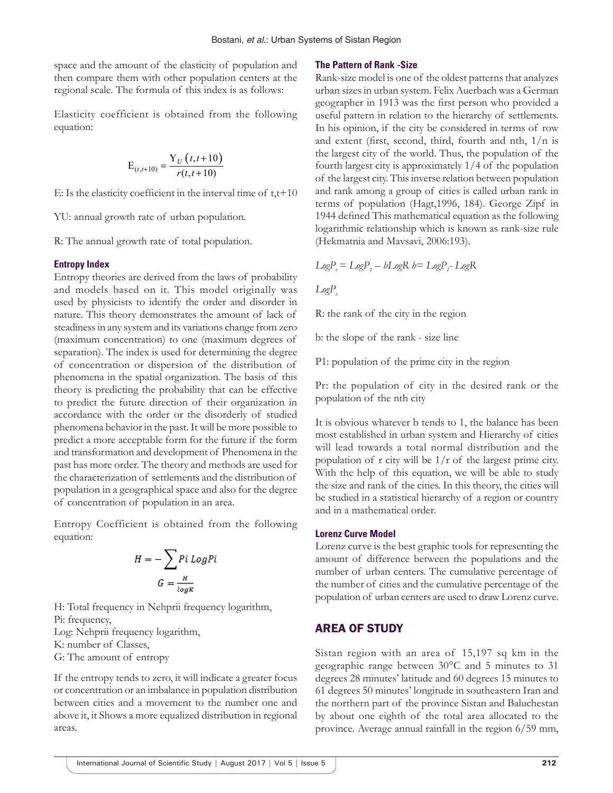space and the amount of the elasticity of population and then compare them with other population centers at the regional scale. The formula of this index is as follows:

Elasticity coefficient is obtained from the following equation:

$$
E_{(t,t+10)} = \frac{Y_U(t,t+10)}{r(t,t+10)}
$$

E: Is the elasticity coefficient in the interval time of  $t, t+10$ 

YU: annual growth rate of urban population.

R: The annual growth rate of total population.

#### **Entropy Index**

Entropy theories are derived from the laws of probability and models based on it. This model originally was used by physicists to identify the order and disorder in nature. This theory demonstrates the amount of lack of steadiness in any system and its variations change from zero (maximum concentration) to one (maximum degrees of separation). The index is used for determining the degree of concentration or dispersion of the distribution of phenomena in the spatial organization. The basis of this theory is predicting the probability that can be effective to predict the future direction of their organization in accordance with the order or the disorderly of studied phenomena behavior in the past. It will be more possible to predict a more acceptable form for the future if the form and transformation and development of Phenomena in the past has more order. The theory and methods are used for the characterization of settlements and the distribution of population in a geographical space and also for the degree of concentration of population in an area.

Entropy Coefficient is obtained from the following equation:

$$
H = -\sum_{G} P i Log P i
$$

$$
G = \frac{H}{log K}
$$

H: Total frequency in Nehprii frequency logarithm, Pi: frequency, Log: Nehprii frequency logarithm, K: number of Classes, G: The amount of entropy

If the entropy tends to zero, it will indicate a greater focus or concentration or an imbalance in population distribution between cities and a movement to the number one and above it, it Shows a more equalized distribution in regional areas.

## **The Pattern of Rank -Size**

Rank-size model is one of the oldest patterns that analyzes urban sizes in urban system. Felix Auerbach was a German geographer in 1913 was the first person who provided a useful pattern in relation to the hierarchy of settlements. In his opinion, if the city be considered in terms of row and extent (first, second, third, fourth and nth,  $1/n$  is the largest city of the world. Thus, the population of the fourth largest city is approximately 1/4 of the population of the largest city. This inverse relation between population and rank among a group of cities is called urban rank in terms of population (Hagt,1996, 184). George Zipf in 1944 defined This mathematical equation as the following logarithmic relationship which is known as rank-size rule (Hekmatnia and Mavsavi, 2006:193).

 $L$ *og* $P_r = L$ *og* $P_f - bL$ *og* $R$   $b = L$ *og* $P_f - L$ *og* $R$ 

LogP<sub>r</sub>

R: the rank of the city in the region

b: the slope of the rank - size line

P1: population of the prime city in the region

Pr: the population of city in the desired rank or the population of the nth city

It is obvious whatever b tends to 1, the balance has been most established in urban system and Hierarchy of cities will lead towards a total normal distribution and the population of  $r$  city will be  $1/r$  of the largest prime city. With the help of this equation, we will be able to study the size and rank of the cities. In this theory, the cities will be studied in a statistical hierarchy of a region or country and in a mathematical order.

#### **Lorenz Curve Model**

Lorenz curve is the best graphic tools for representing the amount of difference between the populations and the number of urban centers. The cumulative percentage of the number of cities and the cumulative percentage of the population of urban centers are used to draw Lorenz curve.

# AREA OF STUDY

Sistan region with an area of 15,197 sq km in the geographic range between 30°C and 5 minutes to 31 degrees 28 minutes' latitude and 60 degrees 15 minutes to 61 degrees 50 minutes' longitude in southeastern Iran and the northern part of the province Sistan and Baluchestan by about one eighth of the total area allocated to the province. Average annual rainfall in the region 6/59 mm,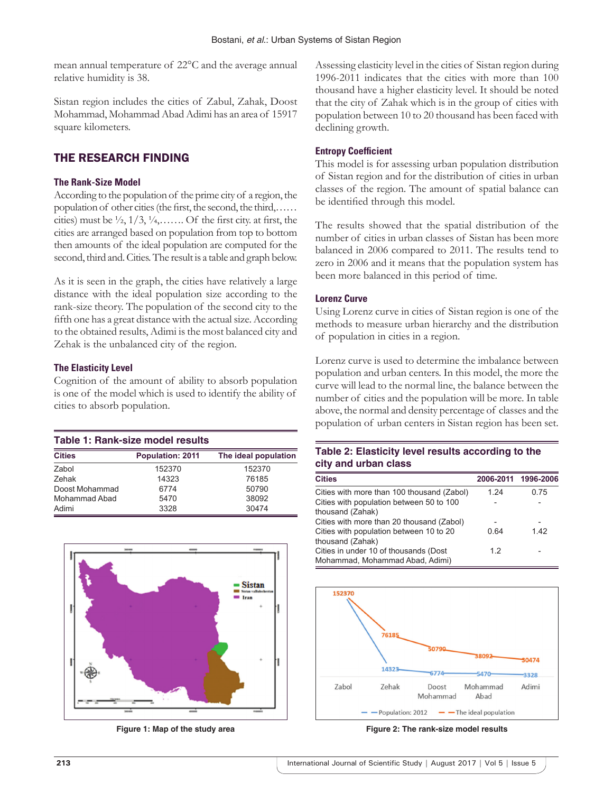mean annual temperature of 22°C and the average annual relative humidity is 38.

Sistan region includes the cities of Zabul, Zahak, Doost Mohammad, Mohammad Abad Adimi has an area of 15917 square kilometers.

# THE RESEARCH FINDING

## **The Rank-Size Model**

According to the population of the prime city of a region, the population of other cities (the first, the second, the third,…… cities) must be  $\frac{1}{2}$ ,  $\frac{1}{3}$ ,  $\frac{1}{4}$ ,...... Of the first city. at first, the cities are arranged based on population from top to bottom then amounts of the ideal population are computed for the second, third and. Cities. The result is a table and graph below.

As it is seen in the graph, the cities have relatively a large distance with the ideal population size according to the rank-size theory. The population of the second city to the fifth one has a great distance with the actual size. According to the obtained results, Adimi is the most balanced city and Zehak is the unbalanced city of the region.

## **The Elasticity Level**

Cognition of the amount of ability to absorb population is one of the model which is used to identify the ability of cities to absorb population.

| Table 1: Rank-size model results |                         |                      |  |  |  |  |  |  |
|----------------------------------|-------------------------|----------------------|--|--|--|--|--|--|
| <b>Cities</b>                    | <b>Population: 2011</b> | The ideal population |  |  |  |  |  |  |
| Zabol                            | 152370                  | 152370               |  |  |  |  |  |  |
| Zehak                            | 14323                   | 76185                |  |  |  |  |  |  |
| Doost Mohammad                   | 6774                    | 50790                |  |  |  |  |  |  |
| Mohammad Abad                    | 5470                    | 38092                |  |  |  |  |  |  |
| Adimi                            | 3328                    | 30474                |  |  |  |  |  |  |



**Figure 1: Map of the study area**

Assessing elasticity level in the cities of Sistan region during 1996-2011 indicates that the cities with more than 100 thousand have a higher elasticity level. It should be noted that the city of Zahak which is in the group of cities with population between 10 to 20 thousand has been faced with declining growth.

## **Entropy Coefficient**

This model is for assessing urban population distribution of Sistan region and for the distribution of cities in urban classes of the region. The amount of spatial balance can be identified through this model.

The results showed that the spatial distribution of the number of cities in urban classes of Sistan has been more balanced in 2006 compared to 2011. The results tend to zero in 2006 and it means that the population system has been more balanced in this period of time.

## **Lorenz Curve**

Using Lorenz curve in cities of Sistan region is one of the methods to measure urban hierarchy and the distribution of population in cities in a region.

Lorenz curve is used to determine the imbalance between population and urban centers. In this model, the more the curve will lead to the normal line, the balance between the number of cities and the population will be more. In table above, the normal and density percentage of classes and the population of urban centers in Sistan region has been set.

## **Table 2: Elasticity level results according to the city and urban class**

| <b>Cities</b>                              |      | 2006-2011 1996-2006 |
|--------------------------------------------|------|---------------------|
| Cities with more than 100 thousand (Zabol) | 1 24 | 0.75                |
| Cities with population between 50 to 100   |      |                     |
| thousand (Zahak)                           |      |                     |
| Cities with more than 20 thousand (Zabol)  |      |                     |
| Cities with population between 10 to 20    | 0 64 | 142                 |
| thousand (Zahak)                           |      |                     |
| Cities in under 10 of thousands (Dost      | 12   |                     |
| Mohammad, Mohammad Abad, Adimi)            |      |                     |



**Figure 2: The rank-size model results**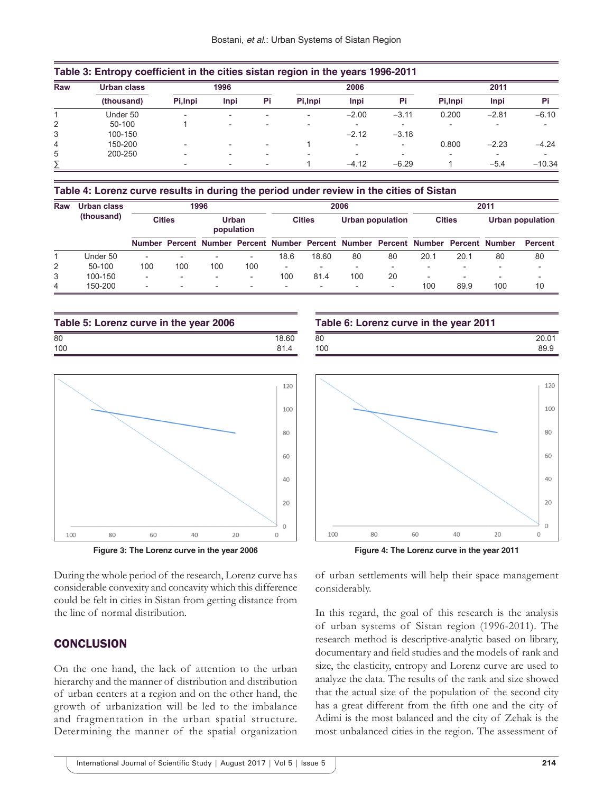| Raw | Urban class | 1996     |                          |    |          | 2006                     |                          | 2011     |         |          |
|-----|-------------|----------|--------------------------|----|----------|--------------------------|--------------------------|----------|---------|----------|
|     | (thousand)  | Pi, Inpi | Inpi                     | Pi | Pi, Inpi | Inpi                     | Pi                       | Pi, Inpi | Inpi    | Pi       |
|     | Under 50    |          | $\overline{\phantom{a}}$ |    |          | $-2.00$                  | $-3.11$                  | 0.200    | $-2.81$ | $-6.10$  |
| 2   | 50-100      |          | $\overline{\phantom{0}}$ |    |          |                          |                          |          |         |          |
| 3   | 100-150     |          |                          |    |          | $-2.12$                  | $-3.18$                  |          |         |          |
| 4   | 150-200     |          |                          |    |          | $\overline{\phantom{0}}$ | $\overline{\phantom{0}}$ | 0.800    | $-2.23$ | $-4.24$  |
| 5   | 200-250     |          | $\overline{\phantom{a}}$ |    |          | $\overline{\phantom{0}}$ |                          |          |         |          |
|     |             |          | $\overline{\phantom{0}}$ |    |          | $-4.12$                  | $-6.29$                  |          | $-5.4$  | $-10.34$ |

#### **Table 4: Lorenz curve results in during the period under review in the cities of Sistan**

| Raw | Urban class<br>(thousand) | 1996                     |     |                          |                          | 2006                     |       |                                                                                   |                          | 2011                     |      |                         |                |
|-----|---------------------------|--------------------------|-----|--------------------------|--------------------------|--------------------------|-------|-----------------------------------------------------------------------------------|--------------------------|--------------------------|------|-------------------------|----------------|
|     |                           | <b>Cities</b>            |     | Urban<br>population      |                          | <b>Cities</b>            |       | Urban population                                                                  |                          | <b>Cities</b>            |      | <b>Urban population</b> |                |
|     |                           |                          |     |                          |                          |                          |       | Number Percent Number Percent Number Percent Number Percent Number Percent Number |                          |                          |      |                         | <b>Percent</b> |
|     | Under 50                  |                          |     |                          | $\overline{\phantom{0}}$ | 18.6                     | 18.60 | 80                                                                                | 80                       | 20.1                     | 20.1 | 80                      | 80             |
| 2   | 50-100                    | 100                      | 100 | 100                      | 100                      | $\overline{\phantom{0}}$ |       |                                                                                   | $\overline{\phantom{0}}$ |                          |      |                         |                |
| 3   | 100-150                   | $\overline{\phantom{0}}$ |     | $\overline{\phantom{0}}$ | $\overline{\phantom{0}}$ | 100                      | 81.4  | 100                                                                               | 20                       | $\overline{\phantom{a}}$ |      | -                       |                |
| 4   | 150-200                   |                          |     | $\overline{\phantom{0}}$ | $\overline{\phantom{0}}$ | $\overline{\phantom{0}}$ |       |                                                                                   | $\overline{\phantom{0}}$ | 100                      | 89.9 | 100                     | 10             |

| Table 5: Lorenz curve in the year 2006 |       |  |  |  |
|----------------------------------------|-------|--|--|--|
| 80                                     | 18.60 |  |  |  |
| 100                                    | 814   |  |  |  |





During the whole period of the research, Lorenz curve has considerable convexity and concavity which this difference could be felt in cities in Sistan from getting distance from the line of normal distribution.

# **CONCLUSION**

On the one hand, the lack of attention to the urban hierarchy and the manner of distribution and distribution of urban centers at a region and on the other hand, the growth of urbanization will be led to the imbalance and fragmentation in the urban spatial structure. Determining the manner of the spatial organization

| Table 6: Lorenz curve in the year 2011 |       |  |  |  |  |
|----------------------------------------|-------|--|--|--|--|
| 80                                     | 20.01 |  |  |  |  |
| 100                                    | 899   |  |  |  |  |
|                                        |       |  |  |  |  |





of urban settlements will help their space management considerably.

In this regard, the goal of this research is the analysis of urban systems of Sistan region (1996-2011). The research method is descriptive-analytic based on library, documentary and field studies and the models of rank and size, the elasticity, entropy and Lorenz curve are used to analyze the data. The results of the rank and size showed that the actual size of the population of the second city has a great different from the fifth one and the city of Adimi is the most balanced and the city of Zehak is the most unbalanced cities in the region. The assessment of